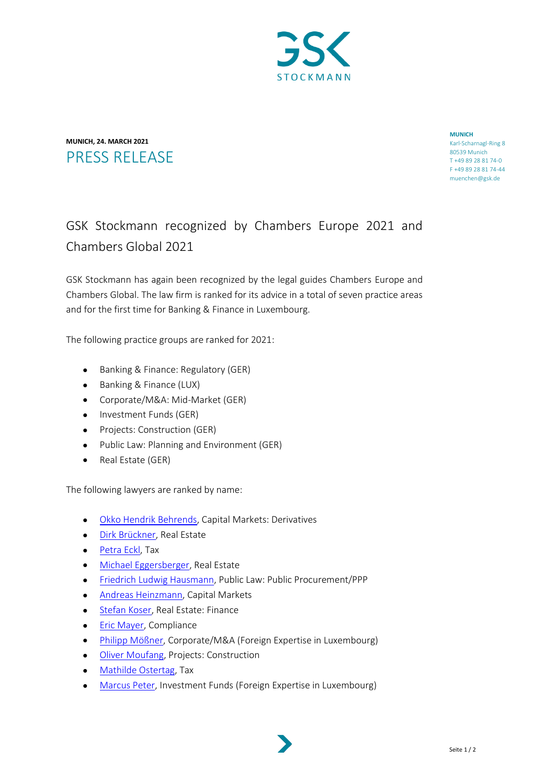

## **MUNICH, 24. MARCH 2021** PRESS RELEASE

**MUNICH** Karl-Scharnagl-Ring 8 80539 Munich T +49 89 28 81 74-0 F +49 89 28 81 74-44 muenchen@gsk.de

## GSK Stockmann recognized by Chambers Europe 2021 and Chambers Global 2021

GSK Stockmann has again been recognized by the legal guides Chambers Europe and Chambers Global. The law firm is ranked for its advice in a total of seven practice areas and for the first time for Banking & Finance in Luxembourg.

The following practice groups are ranked for 2021:

- Banking & Finance: Regulatory (GER)
- Banking & Finance (LUX)
- Corporate/M&A: Mid-Market (GER)
- Investment Funds (GER)
- Projects: Construction (GER)
- Public Law: Planning and Environment (GER)
- Real Estate (GER)

The following lawyers are ranked by name:

- [Okko Hendrik Behrends,](https://www.gsk.de/de/rechtsanwaelte/okko-hendrik-behrends/) Capital Markets: Derivatives
- [Dirk Brückner,](https://www.gsk.de/de/rechtsanwaelte/dr-dirk-brueckner/#gref) Real Estate
- [Petra Eckl,](https://www.gsk.de/de/rechtsanwaelte/dr-petra-eckl/) Tax
- [Michael Eggersberger,](https://www.gsk.de/de/rechtsanwaelte/dr-michael-eggersberger/) Real Estate
- [Friedrich Ludwig Hausmann,](https://www.gsk.de/de/rechtsanwaelte/friedrich-ludwig-hausmann/) Public Law: Public Procurement/PPP
- [Andreas Heinzmann,](https://www.gsk-lux.com/en/lawyers/andreas-heinzmann/) Capital Markets
- [Stefan Koser,](https://www.gsk.de/de/rechtsanwaelte/andreas-heinzmann/) Real Estate: Finance
- **Eric Mayer**, Compliance
- [Philipp Mößner,](https://www.gsk-lux.com/en/lawyers/dr-philipp-moessner/) Corporate/M&A (Foreign Expertise in Luxembourg)
- [Oliver Moufang,](https://www.gsk.de/de/rechtsanwaelte/prof-dr-oliver-moufang/) Projects: Construction
- [Mathilde Ostertag,](https://www.gsk-lux.com/en/lawyers/mathilde-ostertag/) Tax
- [Marcus Peter,](https://www.gsk-lux.com/en/lawyers/dr-marcus-peter/) Investment Funds (Foreign Expertise in Luxembourg)